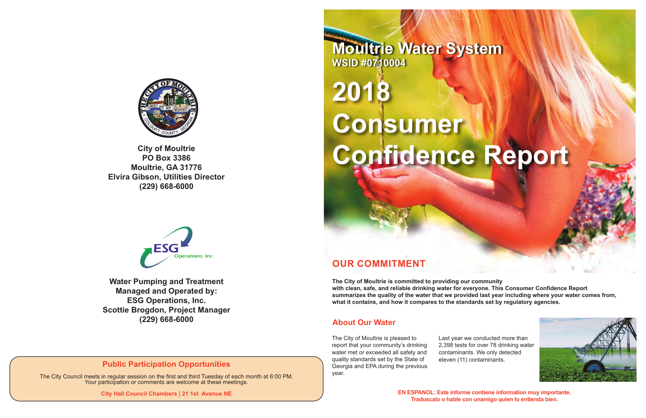# **OUR COMMITMENT**

**The City of Moultrie is committed to providing our community with clean, safe, and reliable drinking water for everyone. This Consumer Confidence Report summarizes the quality of the water that we provided last year including where your water comes from, what it contains, and how it compares to the standards set by regulatory agencies.**

# **2018 Consumer**  Confidence Report

The City of Moultrie is pleased to report that your community's drinking water met or exceeded all safety and quality standards set by the State of Georgia and EPA during the previous year.

Last year we conducted more than 2,398 tests for over 78 drinking water contaminants. We only detected eleven (11) contaminants.





**EN ESPANOL: Este informe contiene information muy importante. Traduscalo o hable con unamigo quien lo entienda bien.**

**Moultrie Water System WSID #0710004**



**PO Box 3386 Moultrie, GA 31776 Elvira Gibson, Utilities Director (229) 668-6000**



#### **About Our Water**

**Water Pumping and Treatment Managed and Operated by: ESG Operations, Inc. Scottie Brogdon, Project Manager (229) 668-6000**

## **Public Participation Opportunities**

The City Council meets in regular session on the first and third Tuesday of each month at 6:00 PM. Your participation or comments are welcome at these meetings.

**City Hall Council Chambers | 21 1st Avenue NE**